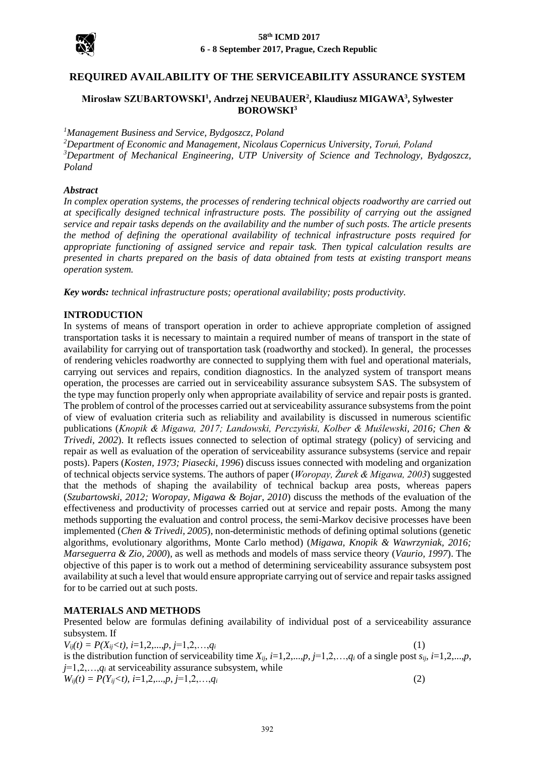

# **REQUIRED AVAILABILITY OF THE SERVICEABILITY ASSURANCE SYSTEM**

# **Mirosław SZUBARTOWSKI<sup>1</sup> , Andrzej NEUBAUER<sup>2</sup> , Klaudiusz MIGAWA<sup>3</sup> , Sylwester BOROWSKI<sup>3</sup>**

*<sup>1</sup>Management Business and Service, Bydgoszcz, Poland*

*<sup>2</sup>Department of Economic and Management, Nicolaus Copernicus University, Toruń, Poland <sup>3</sup>Department of Mechanical Engineering, UTP University of Science and Technology, Bydgoszcz, Poland*

## *Abstract*

*In complex operation systems, the processes of rendering technical objects roadworthy are carried out at specifically designed technical infrastructure posts. The possibility of carrying out the assigned service and repair tasks depends on the availability and the number of such posts. The article presents the method of defining the operational availability of technical infrastructure posts required for appropriate functioning of assigned service and repair task. Then typical calculation results are presented in charts prepared on the basis of data obtained from tests at existing transport means operation system.*

*Key words: technical infrastructure posts; operational availability; posts productivity.*

# **INTRODUCTION**

In systems of means of transport operation in order to achieve appropriate completion of assigned transportation tasks it is necessary to maintain a required number of means of transport in the state of availability for carrying out of transportation task (roadworthy and stocked). In general, the processes of rendering vehicles roadworthy are connected to supplying them with fuel and operational materials, carrying out services and repairs, condition diagnostics. In the analyzed system of transport means operation, the processes are carried out in serviceability assurance subsystem SAS. The subsystem of the type may function properly only when appropriate availability of service and repair posts is granted. The problem of control of the processes carried out at serviceability assurance subsystems from the point of view of evaluation criteria such as reliability and availability is discussed in numerous scientific publications (*Knopik & Migawa, 2017; Landowski, Perczyński, Kolber & Muślewski, 2016; Chen & Trivedi, 2002*). It reflects issues connected to selection of optimal strategy (policy) of servicing and repair as well as evaluation of the operation of serviceability assurance subsystems (service and repair posts). Papers (*Kosten, 1973; Piasecki, 1996*) discuss issues connected with modeling and organization of technical objects service systems. The authors of paper (*Woropay, Żurek & Migawa, 2003*) suggested that the methods of shaping the availability of technical backup area posts, whereas papers (*Szubartowski, 2012; Woropay, Migawa & Bojar, 2010*) discuss the methods of the evaluation of the effectiveness and productivity of processes carried out at service and repair posts. Among the many methods supporting the evaluation and control process, the semi-Markov decisive processes have been implemented (*Chen & Trivedi, 2005*), non-deterministic methods of defining optimal solutions (genetic algorithms, evolutionary algorithms, Monte Carlo method) (*Migawa, Knopik & Wawrzyniak, 2016; Marseguerra & Zio, 2000*), as well as methods and models of mass service theory (*Vaurio, 1997*). The objective of this paper is to work out a method of determining serviceability assurance subsystem post availability at such a level that would ensure appropriate carrying out of service and repair tasks assigned for to be carried out at such posts.

# **MATERIALS AND METHODS**

Presented below are formulas defining availability of individual post of a serviceability assurance subsystem. If

 $V_{ij}(t) = P(X_{ij} < t), i = 1, 2, \ldots, p, j = 1, 2, \ldots, q$ *i* (1) is the distribution function of serviceability time  $X_{i,j}$ ,  $i=1,2,...,p$ ,  $j=1,2,...,q_i$  of a single post  $s_{i,j}$ ,  $i=1,2,...,p$ , *j*=1,2,…,*q<sup>i</sup>* at serviceability assurance subsystem, while  $W_{ij}(t) = P(Y_{ij} \le t), i=1,2,...,p, j=1,2,...,q_i$  (2)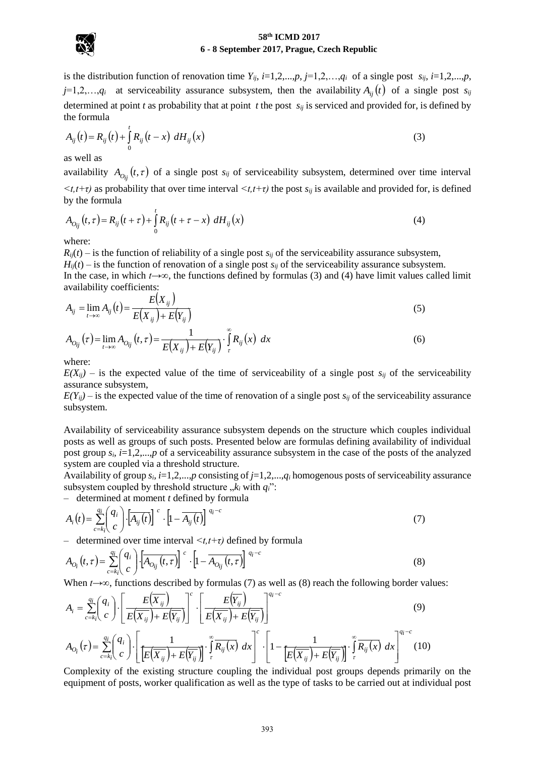

is the distribution function of renovation time  $Y_{ij}$ ,  $i=1,2,...,p$ ,  $j=1,2,...,q_i$  of a single post  $s_{ij}$ ,  $i=1,2,...,p$ , *j*=1,2,..., $q_i$  at serviceability assurance subsystem, then the availability  $A_{ij}(t)$  of a single post  $s_{ij}$ determined at point *t* as probability that at point *t* the post  $s_{ij}$  is serviced and provided for, is defined by the formula

the formula  

$$
A_{ij}(t) = R_{ij}(t) + \int_{0}^{t} R_{ij}(t - x) dH_{ij}(x)
$$
(3)

as well as

availability  $A_{O_{ij}}(t, \tau)$  of a single post  $s_{ij}$  of serviceability subsystem, determined over time interval  $\lt t$ ,*t*+ $\tau$ ) as probability that over time interval  $\lt t$ , *t*+ $\tau$ ) the post *s<sub>ij</sub>* is available and provided for, is defined by the formula

by the formula  
\n
$$
A_{O_{ij}}(t,\tau) = R_{ij}(t+\tau) + \int_0^t R_{ij}(t+\tau-x) dH_{ij}(x)
$$
\n(4)

where:

 $R_{ij}(t)$  – is the function of reliability of a single post  $s_{ij}$  of the serviceability assurance subsystem,  $H_{ii}(t)$  – is the function of renovation of a single post  $s_{ii}$  of the serviceability assurance subsystem. In the case, in which *t→∞*, the functions defined by formulas (3) and (4) have limit values called limit availability coefficients:<br>  $A_{ij} = \lim_{t \to \infty} A_{ij}(t) = \frac{E(X_{ij})}{E(Y_{ij}) - E(Y_{ij})}$ 

$$
A_{ij} = \lim_{t \to \infty} A_{ij}(t) = \frac{E(X_{ij})}{E(X_{ij}) + E(Y_{ij})}
$$
\n
$$
(5)
$$

$$
A_{ij} = \lim_{t \to \infty} A_{ij}(t) = \frac{E(X_{ij}) + E(Y_{ij})}{E(X_{ij}) + E(Y_{ij})}
$$
  
\n
$$
A_{O_{ij}}(\tau) = \lim_{t \to \infty} A_{O_{ij}}(t, \tau) = \frac{1}{E(X_{ij}) + E(Y_{ij})} \cdot \int_{\tau}^{\infty} R_{ij}(x) dx
$$
\n(6)

where:

 $E(X_{ij})$  – is the expected value of the time of serviceability of a single post  $s_{ij}$  of the serviceability assurance subsystem,

 $E(Y_{ii})$  – is the expected value of the time of renovation of a single post  $s_{ii}$  of the serviceability assurance subsystem.

Availability of serviceability assurance subsystem depends on the structure which couples individual posts as well as groups of such posts. Presented below are formulas defining availability of individual post group  $s_i$ ,  $i=1,2,...,p$  of a serviceability assurance subsystem in the case of the posts of the analyzed system are coupled via a threshold structure.

Availability of group *si, i*=1,2,...,*p* consisting of *j*=1,2,...,*q<sup>i</sup>* homogenous posts of serviceability assurance subsystem coupled by threshold structure  $\,k_i$  with  $q_i$ ":

– determined at moment *t* defined by formula

subsystem coupled by threshold structure, 
$$
k_i
$$
 with  $q_i$ ":  
\n- determined at moment *t* defined by formula  
\n
$$
A_i(t) = \sum_{c=k_i}^{q_i} \binom{q_i}{c} \cdot \left[A_{ij}(t)\right]^c \cdot \left[1 - \overline{A_{ij}(t)}\right]^{q_i-c}
$$
\n(7)

– determined over time interval *<t,t+τ)* defined by formula

$$
A_i(t) = \sum_{c=k_i}^{n} \binom{q_i}{c} \cdot \left[ A_{ij}(t) \right]^{q_i} \cdot \left[ 1 - \overline{A_{ij}(t)} \right]^{q_i}
$$
(7)  
- determined over time interval  $\lt t, t+\tau$ ) defined by formula  

$$
A_{O_i}(t,\tau) = \sum_{c=k_i}^{q_i} \binom{q_i}{c} \cdot \left[ \overline{A_{O_{ij}}(t,\tau)} \right]^{c} \cdot \left[ 1 - \overline{A_{O_{ij}}(t,\tau)} \right]^{q_i-c}
$$
(8)  
When  $t \to \infty$ , functions described by formulas (7) as well as (8) reach the following border val  

$$
A_i = \sum_{i=1}^{q_i} \binom{q_i}{i} \cdot \left[ \frac{E(\overline{X}_{ij})}{\sqrt{1-\tau}} \right]^{c} \cdot \left[ \frac{E(\overline{Y}_{ij})}{\sqrt{1-\tau}} \right]^{q_i-c}
$$
(9)

When *t*→∞, functions described by formulas (7) as well as (8) reach the following border values:

When 
$$
t \to \infty
$$
, functions described by formulas (7) as well as (8) reach the following border values:  
\n
$$
A_i = \sum_{c=k_i}^{q_i} {q_i \choose c} \cdot \left[ \frac{E(\overline{X}_{ij})}{E(\overline{X}_{ij}) + E(\overline{Y}_{ij})} \right]^c \cdot \left[ \frac{E(\overline{Y}_{ij})}{E(\overline{X}_{ij}) + E(\overline{Y}_{ij})} \right]^{q_i-c}
$$
\n
$$
A_{O_i}(\tau) = \sum_{c=k_i}^{q_i} {q_i \choose c} \cdot \left[ \frac{1}{E(\overline{X}_{ij}) + E(\overline{Y}_{ij})} \right]^c \cdot \left[ \frac{1}{E(\overline{X}_{ij}) + E(\overline{Y}_{ij})} \right]^c \cdot \left[ 1 - \frac{1}{E(\overline{X}_{ij}) + E(\overline{Y}_{ij})} \right]^c \cdot \left[ \frac{1}{E(\overline{X}_{ij}) + E(\overline{Y}_{ij})} \right]^{q_i-c}
$$
\nComplexity of the existing structure coupling the individual post groups depends primarily on

Complexity of the existing structure coupling the individual post groups depends primarily on the equipment of posts, worker qualification as well as the type of tasks to be carried out at individual post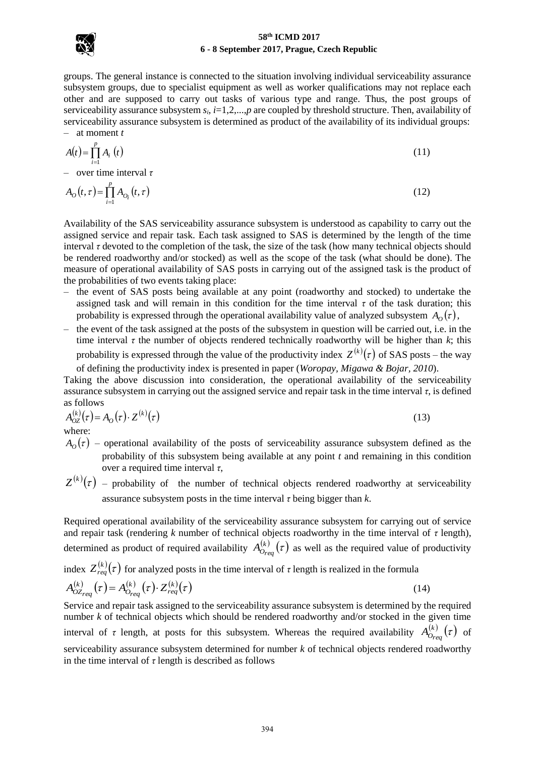

groups. The general instance is connected to the situation involving individual serviceability assurance subsystem groups, due to specialist equipment as well as worker qualifications may not replace each other and are supposed to carry out tasks of various type and range. Thus, the post groups of serviceability assurance subsystem  $s_i$ ,  $i=1,2,...,p$  are coupled by threshold structure. Then, availability of serviceability assurance subsystem is determined as product of the availability of its individual groups: – at moment *t*

$$
A(t) = \prod_{i=1}^{p} A_i(t)
$$
\n(11)

– over time interval *τ*

$$
A_0(t,\tau) = \prod_{i=1}^p A_{O_i}(t,\tau)
$$
\n(12)

Availability of the SAS serviceability assurance subsystem is understood as capability to carry out the assigned service and repair task. Each task assigned to SAS is determined by the length of the time interval *τ* devoted to the completion of the task, the size of the task (how many technical objects should be rendered roadworthy and/or stocked) as well as the scope of the task (what should be done). The measure of operational availability of SAS posts in carrying out of the assigned task is the product of the probabilities of two events taking place:

- the event of SAS posts being available at any point (roadworthy and stocked) to undertake the assigned task and will remain in this condition for the time interval *τ* of the task duration; this probability is expressed through the operational availability value of analyzed subsystem  $A_O(\tau)$ ,
- the event of the task assigned at the posts of the subsystem in question will be carried out, i.e. in the time interval  $\tau$  the number of objects rendered technically roadworthy will be higher than  $k$ ; this probability is expressed through the value of the productivity index  $Z^{(k)}(\tau)$  of SAS posts – the way of defining the productivity index is presented in paper (*Woropay, Migawa & Bojar, 2010*).

Taking the above discussion into consideration, the operational availability of the serviceability assurance subsystem in carrying out the assigned service and repair task in the time interval *τ*, is defined as follows

$$
A_{OZ}^{(k)}(\tau) = A_O(\tau) \cdot Z^{(k)}(\tau)
$$
\nwhere:

\n
$$
(13)
$$

where:

- $A_{\text{o}}(\tau)$  operational availability of the posts of serviceability assurance subsystem defined as the probability of this subsystem being available at any point *t* and remaining in this condition over a required time interval *τ*,
- $Z^{(k)}(\tau)$  probability of the number of technical objects rendered roadworthy at serviceability assurance subsystem posts in the time interval *τ* being bigger than *k*.

Required operational availability of the serviceability assurance subsystem for carrying out of service and repair task (rendering  $k$  number of technical objects roadworthy in the time interval of  $\tau$  length), determined as product of required availability  $A_{Q_{\text{max}}}^{(k)}(\tau)$  $A_{O_{req}}^{(k)}(\tau)$  as well as the required value of productivity

index 
$$
Z_{req}^{(k)}(\tau)
$$
 for analyzed posts in the time interval of  $\tau$  length is realized in the formula  
\n
$$
A_{OZ_{req}}^{(k)}(\tau) = A_{O_{req}}^{(k)}(\tau) \cdot Z_{req}^{(k)}(\tau)
$$
\n(14)

Service and repair task assigned to the serviceability assurance subsystem is determined by the required number *k* of technical objects which should be rendered roadworthy and/or stocked in the given time interval of *τ* length, at posts for this subsystem. Whereas the required availability  $A_{\alpha_{max}}^{(k)}(\tau)$  $A_{O_{req}}^{(k)}(\tau)$  of serviceability assurance subsystem determined for number *k* of technical objects rendered roadworthy in the time interval of  $\tau$  length is described as follows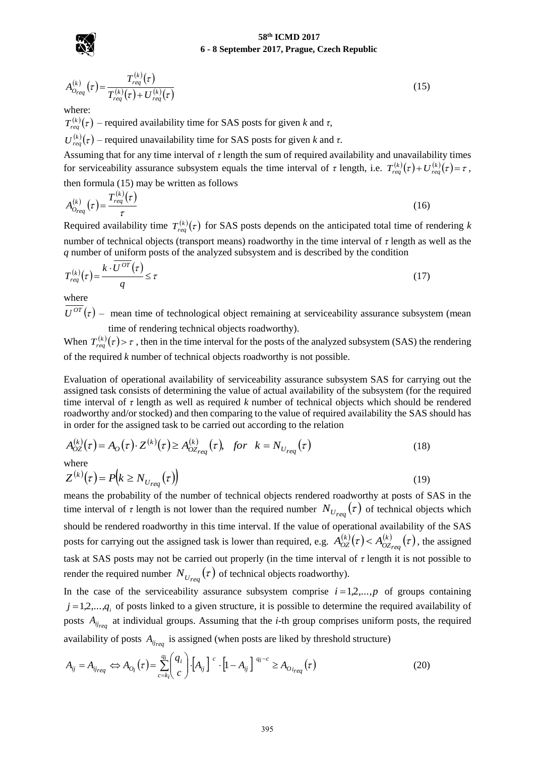

$$
\bigotimes_{i=1}^n
$$

$$
A_{O_{req}}^{(k)}(\tau) = \frac{T_{req}^{(k)}(\tau)}{T_{req}^{(k)}(\tau) + U_{req}^{(k)}(\tau)}
$$
(15)

where:

 $T_{req}^{(k)}(\tau)$  – required availability time for SAS posts for given *k* and  $\tau$ ,

 $U_{req}^{(k)}(\tau)$  – required unavailability time for SAS posts for given *k* and  $\tau$ .

Assuming that for any time interval of *τ* length the sum of required availability and unavailability times **for serviceability assurance subsystem equals the time interval of** *τ* **length, i.e.**  $T_{req}^{(k)}(\tau) + U_{req}^{(k)}(\tau) = \tau$ **,** then formula (15) may be written as follows

$$
A_{O_{req}}^{(k)}(\tau) = \frac{T_{req}^{(k)}(\tau)}{\tau}
$$
\n(16)

Required availability time  $T_{req}^{(k)}(\tau)$  for SAS posts depends on the anticipated total time of rendering *k* number of technical objects (transport means) roadworthy in the time interval of *τ* length as well as the *q* number of uniform posts of the analyzed subsystem and is described by the condition

$$
T_{req}^{(k)}(\tau) = \frac{k \cdot \overline{U^{OT}}(\tau)}{q} \le \tau
$$
 (17)

where

 $U^{OT}(\tau)$  – mean time of technological object remaining at serviceability assurance subsystem (mean time of rendering technical objects roadworthy).

When  $T_{req}^{(k)}(\tau) > \tau$ , then in the time interval for the posts of the analyzed subsystem (SAS) the rendering of the required *k* number of technical objects roadworthy is not possible.

Evaluation of operational availability of serviceability assurance subsystem SAS for carrying out the assigned task consists of determining the value of actual availability of the subsystem (for the required time interval of *τ* length as well as required *k* number of technical objects which should be rendered roadworthy and/or stocked) and then comparing to the value of required availability the SAS should has in order for the assigned task to be carried out according to the relation adworthy and/or stocked) and then comparing to the value of required avander for the assigned task to be carried out according to the relation  $\frac{k}{\omega Z}(\tau) = A_O(\tau) \cdot Z^{(k)}(\tau) \geq A_{OZ_{req}}^{(k)}(\tau)$ , for  $k = N_{U_{req}}(\tau)$ 

$$
A_{OZ}^{(k)}(\tau) = A_O(\tau) \cdot Z^{(k)}(\tau) \ge A_{OZ_{req}}^{(k)}(\tau), \quad \text{for} \quad k = N_{U_{req}}(\tau) \tag{18}
$$

where

where  
\n
$$
Z^{(k)}(\tau) = P(k \ge N_{U_{req}}(\tau))
$$
\n(19)

means the probability of the number of technical objects rendered roadworthy at posts of SAS in the time interval of  $\tau$  length is not lower than the required number  $N_{U_{req}}(\tau)$  of technical objects which should be rendered roadworthy in this time interval. If the value of operational availability of the SAS posts for carrying out the assigned task is lower than required, e.g.  $A_{OZ}^{(k)}(\tau) < A_{OZ_{recl}}^{(k)}(\tau)$ , the *OZreq*  $A_{OZ}^{(k)}(\tau) < A_{OZ_{req}}^{(k)}(\tau)$ , the assigned task at SAS posts may not be carried out properly (in the time interval of *τ* length it is not possible to render the required number  $N_{U_{req}}(\tau)$  of technical objects roadworthy).

In the case of the serviceability assurance subsystem comprise  $i = 1, 2, \ldots, p$  of groups containing  $j = 1, 2, \ldots, q_i$  of posts linked to a given structure, it is possible to determine the required availability of posts  $A_{ij_{req}}$  at individual groups. Assuming that the *i*-th group comprises uniform posts, the required availability of posts  $A_{ij_{req}}$  is assigned (when posts are liked by threshold structure)<br>  $A_{ij} = A_{ij_{req}} \Leftrightarrow A_{O_i}(\tau)$ availability of posts  $A_{ij_{req}}$  is assigned (when posts are liked by threshold structure)

$$
A_{ij} = A_{ij_{req}} \Leftrightarrow A_{O_i}(\tau) = \sum_{c=k_i}^{q_i} \binom{q_i}{c} \cdot \left[A_{ij}\right]^{c} \cdot \left[1 - A_{ij}\right]^{q_i - c} \ge A_{O_{i_{req}}}(\tau)
$$
\n(20)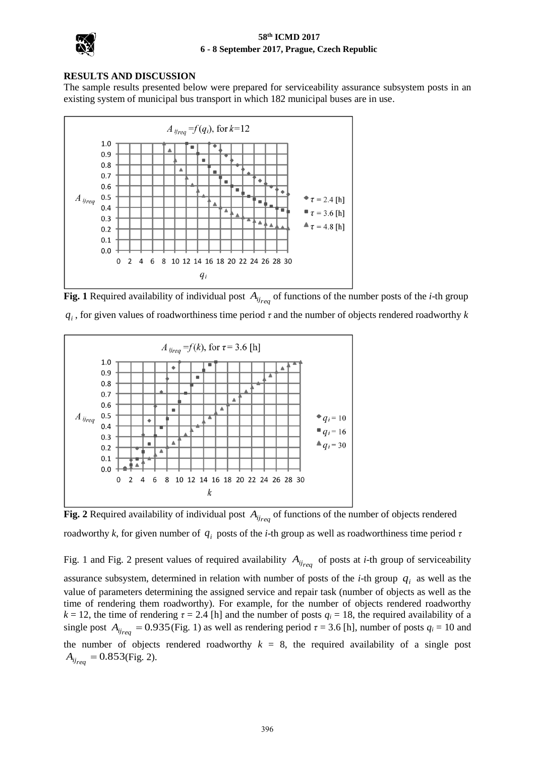

# **RESULTS AND DISCUSSION**

The sample results presented below were prepared for serviceability assurance subsystem posts in an existing system of municipal bus transport in which 182 municipal buses are in use.



**Fig. 1** Required availability of individual post  $A_{ij_{req}}$  of functions of the number posts of the *i*-th group *<sup>i</sup> q* , for given values of roadworthiness time period *τ* and the number of objects rendered roadworthy *k*



**Fig. 2** Required availability of individual post  $A_{ij_{req}}$  of functions of the number of objects rendered roadworthy *k*, for given number of *i q* posts of the *i*-th group as well as roadworthiness time period *τ*

Fig. 1 and Fig. 2 present values of required availability  $A_{ij_{req}}$  of posts at *i*-th group of serviceability assurance subsystem, determined in relation with number of posts of the *i*-th group *qi* as well as the value of parameters determining the assigned service and repair task (number of objects as well as the time of rendering them roadworthy). For example, for the number of objects rendered roadworthy *k* = 12, the time of rendering  $\tau$  = 2.4 [h] and the number of posts  $q_i$  = 18, the required availability of a single post  $A_{ij_{req}} = 0.935$  (Fig. 1) as well as rendering period  $\tau = 3.6$  [h], number of posts  $q_i = 10$  and the number of objects rendered roadworthy  $k = 8$ , the required availability of a single post  $A_{ij_{req}} = 0.853$  (Fig. 2).